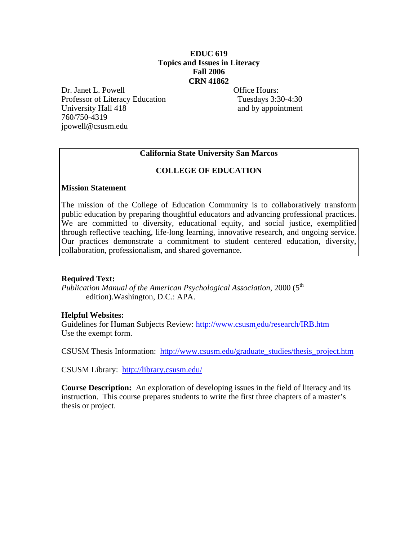# **EDUC 619 Topics and Issues in Literacy Fall 2006 CRN 41862**

Dr. Janet L. Powell **Office Hours:** Professor of Literacy Education Tuesdays 3:30-4:30 University Hall 418 and by appointment 760/750-4319 jpowell@csusm.edu

# **California State University San Marcos**

### **COLLEGE OF EDUCATION**

#### **Mission Statement**

The mission of the College of Education Community is to collaboratively transform public education by preparing thoughtful educators and advancing professional practices. We are committed to diversity, educational equity, and social justice, exemplified through reflective teaching, life-long learning, innovative research, and ongoing service. Our practices demonstrate a commitment to student centered education, diversity, collaboration, professionalism, and shared governance.

### **Required Text:**

*Publication Manual of the American Psychological Association*, 2000 (5<sup>th</sup>) edition).Washington, D.C.: APA.

### **Helpful Websites:**

Guidelines for Human Subjects Review: http://www.csusm.edu/research/IRB.htm Use the exempt form.

CSUSM Thesis Information: http://www.csusm.edu/graduate\_studies/thesis\_project.htm

CSUSM Library: http://library.csusm.edu/

**Course Description:** An exploration of developing issues in the field of literacy and its instruction. This course prepares students to write the first three chapters of a master's thesis or project.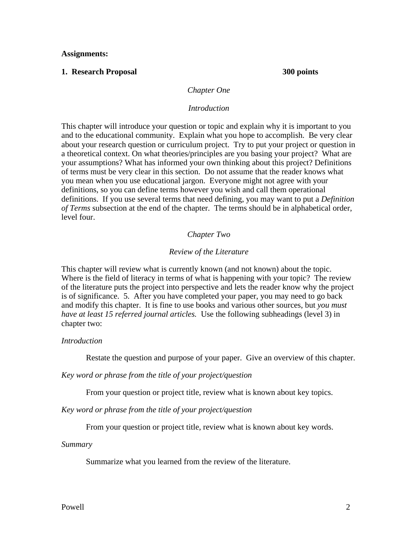**Assignments:** 

#### **1. Research Proposal 300 points**

#### *Chapter One*

#### *Introduction*

This chapter will introduce your question or topic and explain why it is important to you and to the educational community. Explain what you hope to accomplish. Be very clear about your research question or curriculum project. Try to put your project or question in a theoretical context. On what theories/principles are you basing your project? What are your assumptions? What has informed your own thinking about this project? Definitions of terms must be very clear in this section. Do not assume that the reader knows what you mean when you use educational jargon. Everyone might not agree with your definitions, so you can define terms however you wish and call them operational definitions. If you use several terms that need defining, you may want to put a *Definition of Terms* subsection at the end of the chapter. The terms should be in alphabetical order, level four.

#### *Chapter Two*

#### *Review of the Literature*

This chapter will review what is currently known (and not known) about the topic. Where is the field of literacy in terms of what is happening with your topic? The review of the literature puts the project into perspective and lets the reader know why the project is of significance. 5. After you have completed your paper, you may need to go back and modify this chapter. It is fine to use books and various other sources, but *you must have at least 15 referred journal articles.* Use the following subheadings (level 3) in chapter two:

#### *Introduction*

Restate the question and purpose of your paper. Give an overview of this chapter.

*Key word or phrase from the title of your project/question* 

From your question or project title, review what is known about key topics.

*Key word or phrase from the title of your project/question* 

From your question or project title, review what is known about key words.

*Summary* 

Summarize what you learned from the review of the literature.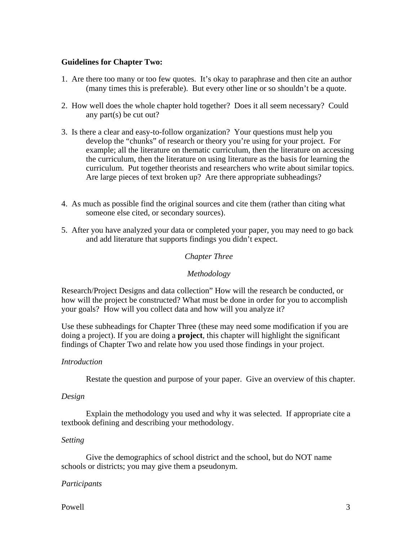### **Guidelines for Chapter Two:**

- 1. Are there too many or too few quotes. It's okay to paraphrase and then cite an author (many times this is preferable). But every other line or so shouldn't be a quote.
- 2. How well does the whole chapter hold together? Does it all seem necessary? Could any part(s) be cut out?
- 3. Is there a clear and easy-to-follow organization? Your questions must help you develop the "chunks" of research or theory you're using for your project. For example; all the literature on thematic curriculum, then the literature on accessing the curriculum, then the literature on using literature as the basis for learning the curriculum. Put together theorists and researchers who write about similar topics. Are large pieces of text broken up? Are there appropriate subheadings?
- 4. As much as possible find the original sources and cite them (rather than citing what someone else cited, or secondary sources).
- 5. After you have analyzed your data or completed your paper, you may need to go back and add literature that supports findings you didn't expect.

### *Chapter Three*

*Methodology* 

Research/Project Designs and data collection" How will the research be conducted, or how will the project be constructed? What must be done in order for you to accomplish your goals? How will you collect data and how will you analyze it?

Use these subheadings for Chapter Three (these may need some modification if you are doing a project). If you are doing a **project**, this chapter will highlight the significant findings of Chapter Two and relate how you used those findings in your project.

#### *Introduction*

Restate the question and purpose of your paper. Give an overview of this chapter.

#### *Design*

Explain the methodology you used and why it was selected. If appropriate cite a textbook defining and describing your methodology.

### *Setting*

Give the demographics of school district and the school, but do NOT name schools or districts; you may give them a pseudonym.

#### *Participants*

Powell 3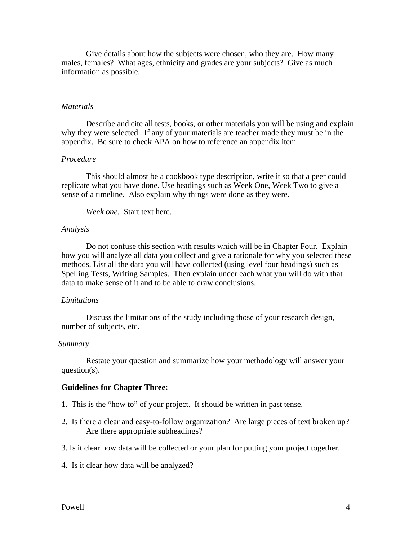Give details about how the subjects were chosen, who they are. How many males, females? What ages, ethnicity and grades are your subjects? Give as much information as possible.

#### *Materials*

Describe and cite all tests, books, or other materials you will be using and explain why they were selected. If any of your materials are teacher made they must be in the appendix. Be sure to check APA on how to reference an appendix item.

#### *Procedure*

This should almost be a cookbook type description, write it so that a peer could replicate what you have done. Use headings such as Week One, Week Two to give a sense of a timeline. Also explain why things were done as they were.

*Week one.* Start text here.

#### *Analysis*

Do not confuse this section with results which will be in Chapter Four. Explain how you will analyze all data you collect and give a rationale for why you selected these methods. List all the data you will have collected (using level four headings) such as Spelling Tests, Writing Samples. Then explain under each what you will do with that data to make sense of it and to be able to draw conclusions.

#### *Limitations*

Discuss the limitations of the study including those of your research design, number of subjects, etc.

#### *Summary*

Restate your question and summarize how your methodology will answer your question(s).

#### **Guidelines for Chapter Three:**

- 1. This is the "how to" of your project. It should be written in past tense.
- 2. Is there a clear and easy-to-follow organization? Are large pieces of text broken up? Are there appropriate subheadings?
- 3. Is it clear how data will be collected or your plan for putting your project together.
- 4. Is it clear how data will be analyzed?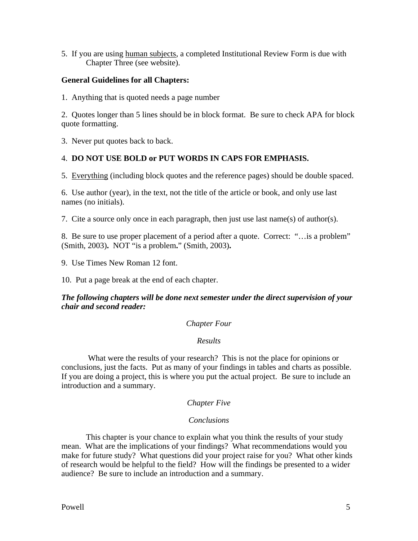5. If you are using human subjects, a completed Institutional Review Form is due with Chapter Three (see website).

# **General Guidelines for all Chapters:**

1. Anything that is quoted needs a page number

2. Quotes longer than 5 lines should be in block format. Be sure to check APA for block quote formatting.

3. Never put quotes back to back.

# 4. **DO NOT USE BOLD or PUT WORDS IN CAPS FOR EMPHASIS.**

5. Everything (including block quotes and the reference pages) should be double spaced.

6. Use author (year), in the text, not the title of the article or book, and only use last names (no initials).

7. Cite a source only once in each paragraph, then just use last name(s) of author(s).

8. Be sure to use proper placement of a period after a quote. Correct: "…is a problem" (Smith, 2003)**.** NOT "is a problem**.**" (Smith, 2003)**.** 

9. Use Times New Roman 12 font.

10. Put a page break at the end of each chapter.

### *The following chapters will be done next semester under the direct supervision of your chair and second reader:*

### *Chapter Four*

### *Results*

 What were the results of your research? This is not the place for opinions or conclusions, just the facts. Put as many of your findings in tables and charts as possible. If you are doing a project, this is where you put the actual project. Be sure to include an introduction and a summary.

### *Chapter Five*

### *Conclusions*

This chapter is your chance to explain what you think the results of your study mean. What are the implications of your findings? What recommendations would you make for future study? What questions did your project raise for you? What other kinds of research would be helpful to the field? How will the findings be presented to a wider audience? Be sure to include an introduction and a summary.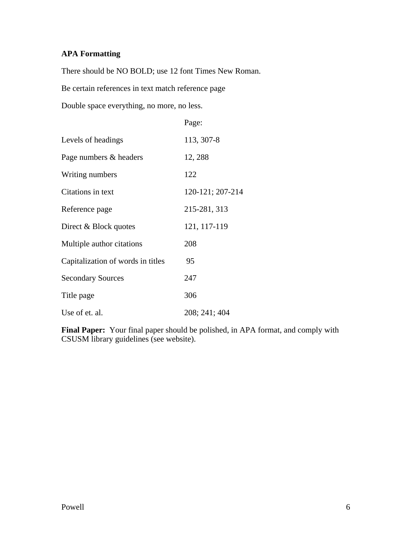# **APA Formatting**

There should be NO BOLD; use 12 font Times New Roman.

Be certain references in text match reference page

Double space everything, no more, no less.

|                                   | Page:            |
|-----------------------------------|------------------|
| Levels of headings                | 113, 307-8       |
| Page numbers & headers            | 12, 288          |
| Writing numbers                   | 122              |
| Citations in text                 | 120-121; 207-214 |
| Reference page                    | 215-281, 313     |
| Direct & Block quotes             | 121, 117-119     |
| Multiple author citations         | 208              |
| Capitalization of words in titles | 95               |
| <b>Secondary Sources</b>          | 247              |
| Title page                        | 306              |
| Use of et. al.                    | 208; 241; 404    |

**Final Paper:** Your final paper should be polished, in APA format, and comply with CSUSM library guidelines (see website).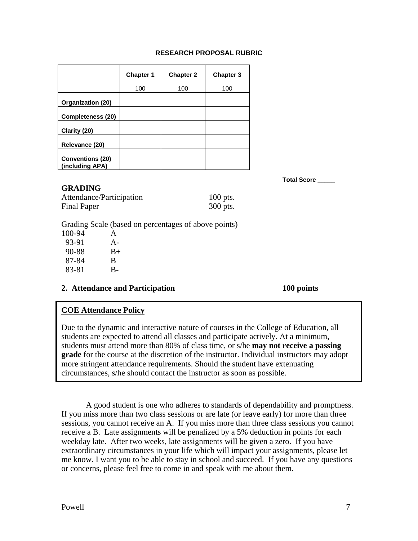### **RESEARCH PROPOSAL RUBRIC**

|                                            | <b>Chapter 1</b> | <b>Chapter 2</b> | Chapter 3 |
|--------------------------------------------|------------------|------------------|-----------|
|                                            | 100              | 100              | 100       |
| <b>Organization (20)</b>                   |                  |                  |           |
| Completeness (20)                          |                  |                  |           |
| Clarity (20)                               |                  |                  |           |
| Relevance (20)                             |                  |                  |           |
| <b>Conventions (20)</b><br>(including APA) |                  |                  |           |

**GRADING** 

**Total Score \_\_\_\_\_** 

| $\mathbf{v}$             |            |
|--------------------------|------------|
| Attendance/Participation | $100$ pts. |
| <b>Final Paper</b>       | 300 pts.   |

Grading Scale (based on percentages of above points)

| 100-94 | A     |
|--------|-------|
| 93-91  | $A -$ |
| 90-88  | $B+$  |
| 87-84  | B     |
| 83-81  | В-    |

### **2. Attendance and Participation 100 points**

# **COE Attendance Policy**

Due to the dynamic and interactive nature of courses in the College of Education, all students are expected to attend all classes and participate actively. At a minimum, students must attend more than 80% of class time, or s/he **may not receive a passing grade** for the course at the discretion of the instructor. Individual instructors may adopt more stringent attendance requirements. Should the student have extenuating circumstances, s/he should contact the instructor as soon as possible.

 A good student is one who adheres to standards of dependability and promptness. If you miss more than two class sessions or are late (or leave early) for more than three sessions, you cannot receive an A. If you miss more than three class sessions you cannot receive a B. Late assignments will be penalized by a 5% deduction in points for each weekday late. After two weeks, late assignments will be given a zero. If you have extraordinary circumstances in your life which will impact your assignments, please let me know. I want you to be able to stay in school and succeed. If you have any questions or concerns, please feel free to come in and speak with me about them.